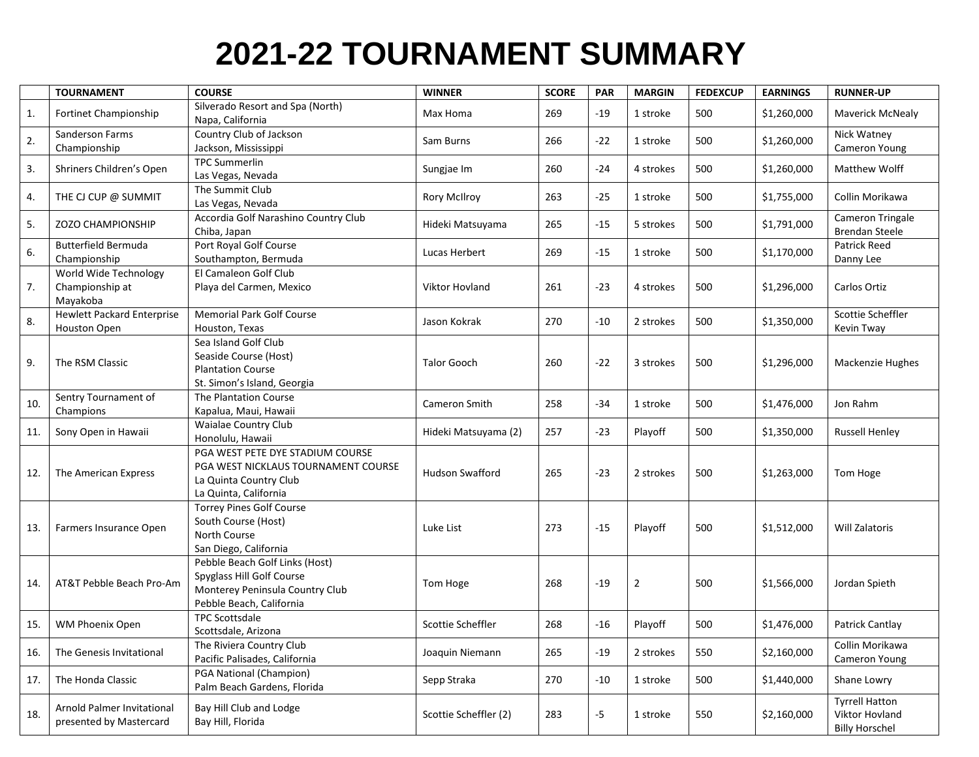## **2021-22 TOURNAMENT SUMMARY**

|     | <b>TOURNAMENT</b>                                     | <b>COURSE</b>                                                                                                              | <b>WINNER</b>          | <b>SCORE</b> | <b>PAR</b> | <b>MARGIN</b> | <b>FEDEXCUP</b> | <b>EARNINGS</b> | <b>RUNNER-UP</b>                                                 |
|-----|-------------------------------------------------------|----------------------------------------------------------------------------------------------------------------------------|------------------------|--------------|------------|---------------|-----------------|-----------------|------------------------------------------------------------------|
| 1.  | Fortinet Championship                                 | Silverado Resort and Spa (North)<br>Napa, California                                                                       | Max Homa               | 269          | $-19$      | 1 stroke      | 500             | \$1,260,000     | <b>Maverick McNealy</b>                                          |
| 2.  | Sanderson Farms<br>Championship                       | Country Club of Jackson<br>Jackson, Mississippi                                                                            | Sam Burns              | 266          | $-22$      | 1 stroke      | 500             | \$1,260,000     | Nick Watney<br>Cameron Young                                     |
| 3.  | Shriners Children's Open                              | <b>TPC Summerlin</b><br>Las Vegas, Nevada                                                                                  | Sungjae Im             | 260          | $-24$      | 4 strokes     | 500             | \$1,260,000     | Matthew Wolff                                                    |
| 4.  | THE CJ CUP @ SUMMIT                                   | The Summit Club<br>Las Vegas, Nevada                                                                                       | <b>Rory McIlroy</b>    | 263          | $-25$      | 1 stroke      | 500             | \$1,755,000     | Collin Morikawa                                                  |
| 5.  | <b>ZOZO CHAMPIONSHIP</b>                              | Accordia Golf Narashino Country Club<br>Chiba, Japan                                                                       | Hideki Matsuyama       | 265          | $-15$      | 5 strokes     | 500             | \$1,791,000     | Cameron Tringale<br><b>Brendan Steele</b>                        |
| 6.  | <b>Butterfield Bermuda</b><br>Championship            | Port Royal Golf Course<br>Southampton, Bermuda                                                                             | Lucas Herbert          | 269          | $-15$      | 1 stroke      | 500             | \$1,170,000     | Patrick Reed<br>Danny Lee                                        |
| 7.  | World Wide Technology<br>Championship at<br>Mayakoba  | El Camaleon Golf Club<br>Playa del Carmen, Mexico                                                                          | <b>Viktor Hovland</b>  | 261          | $-23$      | 4 strokes     | 500             | \$1,296,000     | Carlos Ortiz                                                     |
| 8.  | <b>Hewlett Packard Enterprise</b><br>Houston Open     | <b>Memorial Park Golf Course</b><br>Houston, Texas                                                                         | Jason Kokrak           | 270          | $-10$      | 2 strokes     | 500             | \$1,350,000     | Scottie Scheffler<br>Kevin Tway                                  |
| 9.  | The RSM Classic                                       | Sea Island Golf Club<br>Seaside Course (Host)<br><b>Plantation Course</b><br>St. Simon's Island, Georgia                   | <b>Talor Gooch</b>     | 260          | $-22$      | 3 strokes     | 500             | \$1,296,000     | Mackenzie Hughes                                                 |
| 10. | Sentry Tournament of<br>Champions                     | The Plantation Course<br>Kapalua, Maui, Hawaii                                                                             | Cameron Smith          | 258          | -34        | 1 stroke      | 500             | \$1,476,000     | Jon Rahm                                                         |
| 11. | Sony Open in Hawaii                                   | <b>Waialae Country Club</b><br>Honolulu, Hawaii                                                                            | Hideki Matsuyama (2)   | 257          | $-23$      | Playoff       | 500             | \$1,350,000     | <b>Russell Henley</b>                                            |
| 12. | The American Express                                  | PGA WEST PETE DYE STADIUM COURSE<br>PGA WEST NICKLAUS TOURNAMENT COURSE<br>La Quinta Country Club<br>La Quinta, California | <b>Hudson Swafford</b> | 265          | $-23$      | 2 strokes     | 500             | \$1,263,000     | Tom Hoge                                                         |
| 13. | Farmers Insurance Open                                | <b>Torrey Pines Golf Course</b><br>South Course (Host)<br>North Course<br>San Diego, California                            | Luke List              | 273          | $-15$      | Playoff       | 500             | \$1,512,000     | <b>Will Zalatoris</b>                                            |
| 14. | AT&T Pebble Beach Pro-Am                              | Pebble Beach Golf Links (Host)<br>Spyglass Hill Golf Course<br>Monterey Peninsula Country Club<br>Pebble Beach, California | Tom Hoge               | 268          | $-19$      | 2             | 500             | \$1,566,000     | Jordan Spieth                                                    |
| 15. | WM Phoenix Open                                       | <b>TPC Scottsdale</b><br>Scottsdale, Arizona                                                                               | Scottie Scheffler      | 268          | $-16$      | Playoff       | 500             | \$1,476,000     | Patrick Cantlay                                                  |
| 16. | The Genesis Invitational                              | The Riviera Country Club<br>Pacific Palisades, California                                                                  | Joaquin Niemann        | 265          | $-19$      | 2 strokes     | 550             | \$2,160,000     | Collin Morikawa<br>Cameron Young                                 |
| 17. | The Honda Classic                                     | PGA National (Champion)<br>Palm Beach Gardens, Florida                                                                     | Sepp Straka            | 270          | $-10$      | 1 stroke      | 500             | \$1,440,000     | Shane Lowry                                                      |
| 18. | Arnold Palmer Invitational<br>presented by Mastercard | Bay Hill Club and Lodge<br>Bay Hill, Florida                                                                               | Scottie Scheffler (2)  | 283          | -5         | 1 stroke      | 550             | \$2,160,000     | <b>Tyrrell Hatton</b><br>Viktor Hovland<br><b>Billy Horschel</b> |